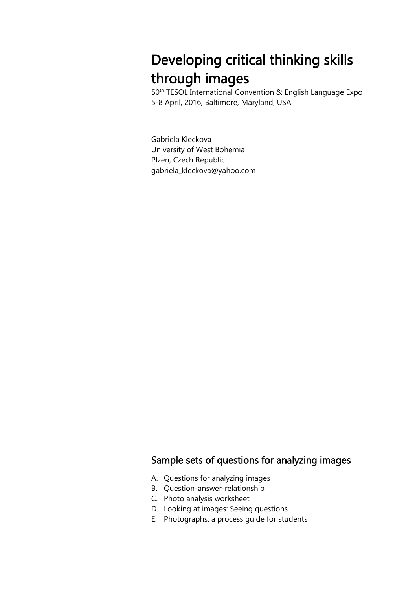# Developing critical thinking skills through images

50th TESOL International Convention & English Language Expo 5-8 April, 2016, Baltimore, Maryland, USA

Gabriela Kleckova University of West Bohemia Plzen, Czech Republic gabriela\_kleckova@yahoo.com

# Sample sets of questions for analyzing images

- A. Questions for analyzing images
- B. Question-answer-relationship
- C. Photo analysis worksheet
- D. Looking at images: Seeing questions
- E. Photographs: a process guide for students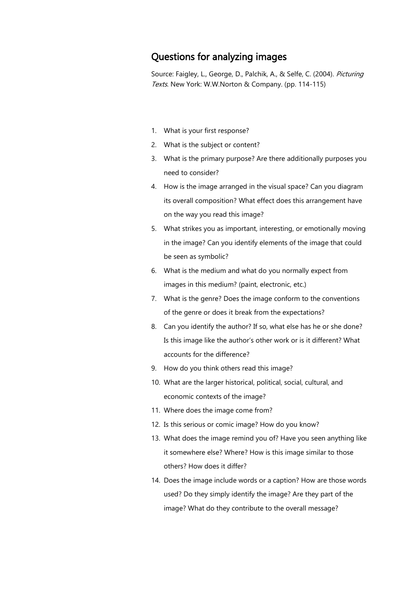## Questions for analyzing images

Source: Faigley, L., George, D., Palchik, A., & Selfe, C. (2004). Picturing Texts. New York: W.W.Norton & Company. (pp. 114-115)

- 1. What is your first response?
- 2. What is the subject or content?
- 3. What is the primary purpose? Are there additionally purposes you need to consider?
- 4. How is the image arranged in the visual space? Can you diagram its overall composition? What effect does this arrangement have on the way you read this image?
- 5. What strikes you as important, interesting, or emotionally moving in the image? Can you identify elements of the image that could be seen as symbolic?
- 6. What is the medium and what do you normally expect from images in this medium? (paint, electronic, etc.)
- 7. What is the genre? Does the image conform to the conventions of the genre or does it break from the expectations?
- 8. Can you identify the author? If so, what else has he or she done? Is this image like the author's other work or is it different? What accounts for the difference?
- 9. How do you think others read this image?
- 10. What are the larger historical, political, social, cultural, and economic contexts of the image?
- 11. Where does the image come from?
- 12. Is this serious or comic image? How do you know?
- 13. What does the image remind you of? Have you seen anything like it somewhere else? Where? How is this image similar to those others? How does it differ?
- 14. Does the image include words or a caption? How are those words used? Do they simply identify the image? Are they part of the image? What do they contribute to the overall message?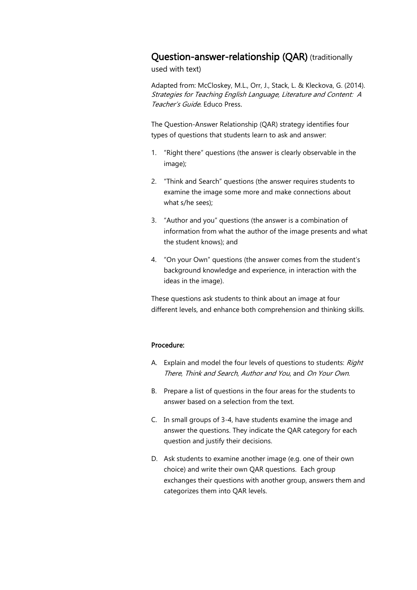### Question-answer-relationship (QAR) (traditionally

used with text)

Adapted from: McCloskey, M.L., Orr, J., Stack, L. & Kleckova, G. (2014). Strategies for Teaching English Language, Literature and Content: A Teacher's Guide. Educo Press.

The Question-Answer Relationship (QAR) strategy identifies four types of questions that students learn to ask and answer:

- 1. "Right there" questions (the answer is clearly observable in the image);
- 2. "Think and Search" questions (the answer requires students to examine the image some more and make connections about what s/he sees);
- 3. "Author and you" questions (the answer is a combination of information from what the author of the image presents and what the student knows); and
- 4. "On your Own" questions (the answer comes from the student's background knowledge and experience, in interaction with the ideas in the image).

These questions ask students to think about an image at four different levels, and enhance both comprehension and thinking skills.

#### Procedure:

- A. Explain and model the four levels of questions to students: Right There, Think and Search, Author and You, and On Your Own.
- B. Prepare a list of questions in the four areas for the students to answer based on a selection from the text.
- C. In small groups of 3-4, have students examine the image and answer the questions. They indicate the QAR category for each question and justify their decisions.
- D. Ask students to examine another image (e.g. one of their own choice) and write their own QAR questions. Each group exchanges their questions with another group, answers them and categorizes them into QAR levels.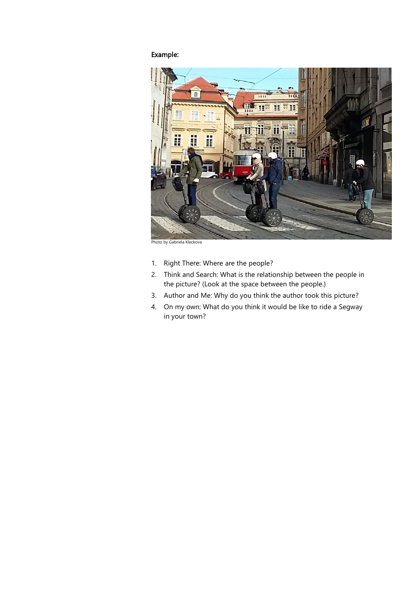# Example:



Photo by Gabriela Kleckova

- 1. Right There: Where are the people?
- 2. Think and Search: What is the relationship between the people in the picture? (Look at the space between the people.)
- 3. Author and Me: Why do you think the author took this picture?
- 4. On my own: What do you think it would be like to ride a Segway in your town?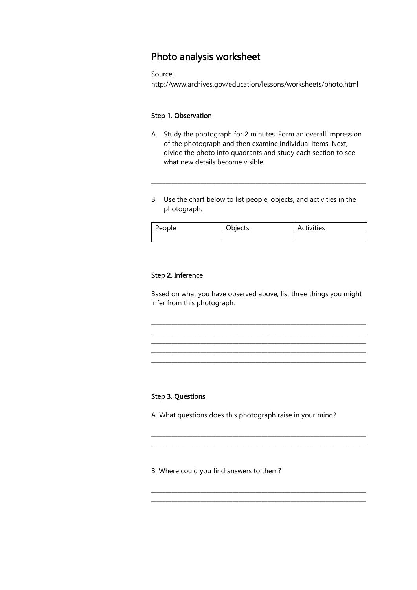# Photo analysis worksheet

Source:

http://www.archives.gov/education/lessons/worksheets/photo.html

#### Step 1. Observation

A. Study the photograph for 2 minutes. Form an overall impression of the photograph and then examine individual items. Next, divide the photo into quadrants and study each section to see what new details become visible.

\_\_\_\_\_\_\_\_\_\_\_\_\_\_\_\_\_\_\_\_\_\_\_\_\_\_\_\_\_\_\_\_\_\_\_\_\_\_\_\_\_\_\_\_\_\_\_\_\_\_\_\_\_\_\_\_\_\_\_\_\_\_\_\_\_\_\_\_\_\_\_\_\_\_

B. Use the chart below to list people, objects, and activities in the photograph.

| People | ັ<br>ີ | Activities |
|--------|--------|------------|
|        |        |            |

#### Step 2. Inference

Based on what you have observed above, list three things you might infer from this photograph.

\_\_\_\_\_\_\_\_\_\_\_\_\_\_\_\_\_\_\_\_\_\_\_\_\_\_\_\_\_\_\_\_\_\_\_\_\_\_\_\_\_\_\_\_\_\_\_\_\_\_\_\_\_\_\_\_\_\_\_\_\_\_\_\_\_\_\_\_\_\_\_\_\_\_ \_\_\_\_\_\_\_\_\_\_\_\_\_\_\_\_\_\_\_\_\_\_\_\_\_\_\_\_\_\_\_\_\_\_\_\_\_\_\_\_\_\_\_\_\_\_\_\_\_\_\_\_\_\_\_\_\_\_\_\_\_\_\_\_\_\_\_\_\_\_\_\_\_\_

\_\_\_\_\_\_\_\_\_\_\_\_\_\_\_\_\_\_\_\_\_\_\_\_\_\_\_\_\_\_\_\_\_\_\_\_\_\_\_\_\_\_\_\_\_\_\_\_\_\_\_\_\_\_\_\_\_\_\_\_\_\_\_\_\_\_\_\_\_\_\_\_\_\_ \_\_\_\_\_\_\_\_\_\_\_\_\_\_\_\_\_\_\_\_\_\_\_\_\_\_\_\_\_\_\_\_\_\_\_\_\_\_\_\_\_\_\_\_\_\_\_\_\_\_\_\_\_\_\_\_\_\_\_\_\_\_\_\_\_\_\_\_\_\_\_\_\_\_

\_\_\_\_\_\_\_\_\_\_\_\_\_\_\_\_\_\_\_\_\_\_\_\_\_\_\_\_\_\_\_\_\_\_\_\_\_\_\_\_\_\_\_\_\_\_\_\_\_\_\_\_\_\_\_\_\_\_\_\_\_\_\_\_\_\_\_\_\_\_\_\_\_\_ \_\_\_\_\_\_\_\_\_\_\_\_\_\_\_\_\_\_\_\_\_\_\_\_\_\_\_\_\_\_\_\_\_\_\_\_\_\_\_\_\_\_\_\_\_\_\_\_\_\_\_\_\_\_\_\_\_\_\_\_\_\_\_\_\_\_\_\_\_\_\_\_\_\_

\_\_\_\_\_\_\_\_\_\_\_\_\_\_\_\_\_\_\_\_\_\_\_\_\_\_\_\_\_\_\_\_\_\_\_\_\_\_\_\_\_\_\_\_\_\_\_\_\_\_\_\_\_\_\_\_\_\_\_\_\_\_\_\_\_\_\_\_\_\_\_\_\_\_ \_\_\_\_\_\_\_\_\_\_\_\_\_\_\_\_\_\_\_\_\_\_\_\_\_\_\_\_\_\_\_\_\_\_\_\_\_\_\_\_\_\_\_\_\_\_\_\_\_\_\_\_\_\_\_\_\_\_\_\_\_\_\_\_\_\_\_\_\_\_\_\_\_\_

#### Step 3. Questions

A. What questions does this photograph raise in your mind?

B. Where could you find answers to them?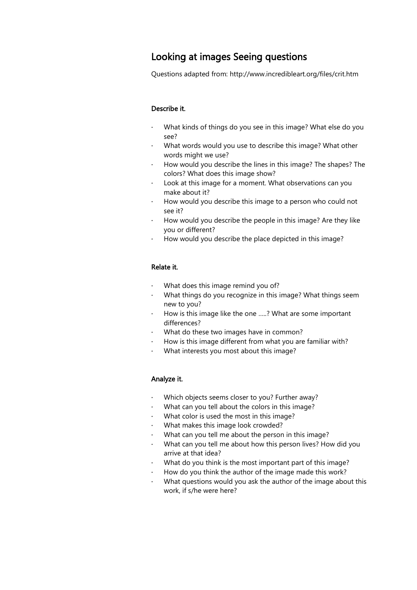# Looking at images Seeing questions

Questions adapted from: http://www.incredibleart.org/files/crit.htm

#### Describe it.

- · What kinds of things do you see in this image? What else do you see?
- · What words would you use to describe this image? What other words might we use?
- · How would you describe the lines in this image? The shapes? The colors? What does this image show?
- · Look at this image for a moment. What observations can you make about it?
- · How would you describe this image to a person who could not see it?
- · How would you describe the people in this image? Are they like you or different?
- · How would you describe the place depicted in this image?

#### Relate it.

- What does this image remind you of?
- · What things do you recognize in this image? What things seem new to you?
- How is this image like the one .....? What are some important differences?
- · What do these two images have in common?
- How is this image different from what you are familiar with?
- · What interests you most about this image?

#### Analyze it.

- · Which objects seems closer to you? Further away?
- · What can you tell about the colors in this image?
- What color is used the most in this image?
- What makes this image look crowded?
- · What can you tell me about the person in this image?
- What can you tell me about how this person lives? How did you arrive at that idea?
- What do you think is the most important part of this image?
- · How do you think the author of the image made this work?
- What questions would you ask the author of the image about this work, if s/he were here?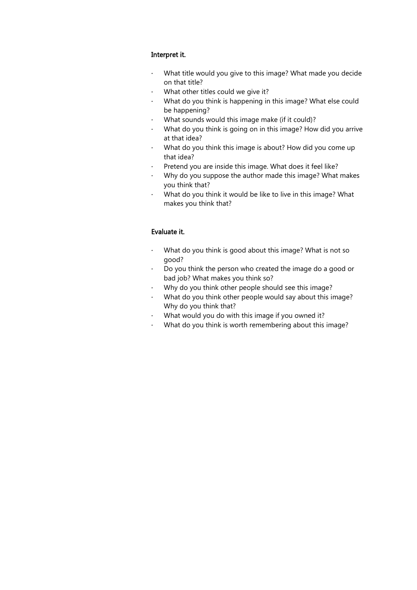#### Interpret it.

- · What title would you give to this image? What made you decide on that title?
- · What other titles could we give it?
- · What do you think is happening in this image? What else could be happening?
- · What sounds would this image make (if it could)?
- · What do you think is going on in this image? How did you arrive at that idea?
- · What do you think this image is about? How did you come up that idea?
- · Pretend you are inside this image. What does it feel like?
- · Why do you suppose the author made this image? What makes you think that?
- · What do you think it would be like to live in this image? What makes you think that?

#### Evaluate it.

- · What do you think is good about this image? What is not so good?
- · Do you think the person who created the image do a good or bad job? What makes you think so?
- · Why do you think other people should see this image?
- · What do you think other people would say about this image? Why do you think that?
- · What would you do with this image if you owned it?
- · What do you think is worth remembering about this image?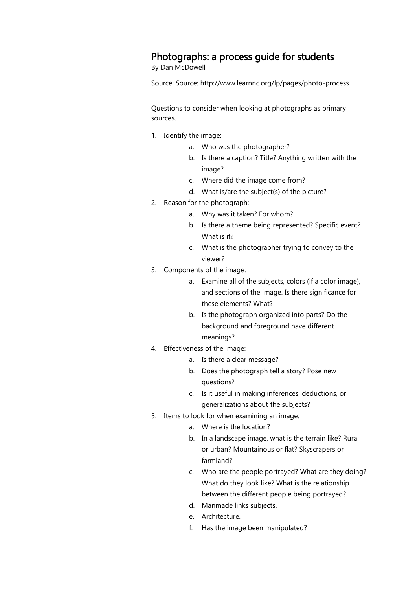# Photographs: a process guide for students

By Dan McDowell

Source: Source: http://www.learnnc.org/lp/pages/photo-process

Questions to consider when looking at photographs as primary sources.

- 1. Identify the image:
	- a. Who was the photographer?
	- b. Is there a caption? Title? Anything written with the image?
	- c. Where did the image come from?
	- d. What is/are the subject(s) of the picture?
- 2. Reason for the photograph:
	- a. Why was it taken? For whom?
	- b. Is there a theme being represented? Specific event? What is it?
	- c. What is the photographer trying to convey to the viewer?
- 3. Components of the image:
	- a. Examine all of the subjects, colors (if a color image), and sections of the image. Is there significance for these elements? What?
	- b. Is the photograph organized into parts? Do the background and foreground have different meanings?
- 4. Effectiveness of the image:
	- a. Is there a clear message?
	- b. Does the photograph tell a story? Pose new questions?
	- c. Is it useful in making inferences, deductions, or generalizations about the subjects?
- 5. Items to look for when examining an image:
	- a. Where is the location?
		- b. In a landscape image, what is the terrain like? Rural or urban? Mountainous or flat? Skyscrapers or farmland?
		- c. Who are the people portrayed? What are they doing? What do they look like? What is the relationship between the different people being portrayed?
		- d. Manmade links subjects.
		- e. Architecture.
		- f. Has the image been manipulated?